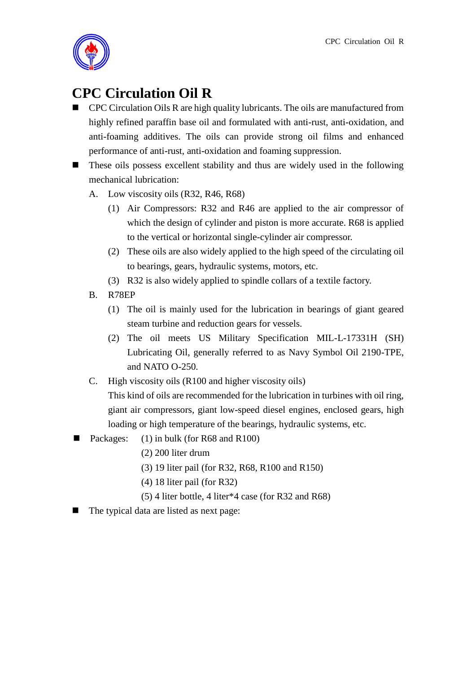

## **CPC Circulation Oil R**

- CPC Circulation Oils R are high quality lubricants. The oils are manufactured from highly refined paraffin base oil and formulated with anti-rust, anti-oxidation, and anti-foaming additives. The oils can provide strong oil films and enhanced performance of anti-rust, anti-oxidation and foaming suppression.
- These oils possess excellent stability and thus are widely used in the following mechanical lubrication:
	- A. Low viscosity oils (R32, R46, R68)
		- (1) Air Compressors: R32 and R46 are applied to the air compressor of which the design of cylinder and piston is more accurate. R68 is applied to the vertical or horizontal single-cylinder air compressor.
		- (2) These oils are also widely applied to the high speed of the circulating oil to bearings, gears, hydraulic systems, motors, etc.
		- (3) R32 is also widely applied to spindle collars of a textile factory.
	- B. R78EP
		- (1) The oil is mainly used for the lubrication in bearings of giant geared steam turbine and reduction gears for vessels.
		- (2) The oil meets US Military Specification MIL-L-17331H (SH) Lubricating Oil, generally referred to as Navy Symbol Oil 2190-TPE, and NATO O-250.
	- C. High viscosity oils (R100 and higher viscosity oils)

This kind of oils are recommended for the lubrication in turbines with oil ring, giant air compressors, giant low-speed diesel engines, enclosed gears, high loading or high temperature of the bearings, hydraulic systems, etc.

- Packages:  $(1)$  in bulk (for R68 and R100)
	- (2) 200 liter drum
	- (3) 19 liter pail (for R32, R68, R100 and R150)
	- (4) 18 liter pail (for R32)
	- (5) 4 liter bottle, 4 liter\*4 case (for R32 and R68)
- The typical data are listed as next page: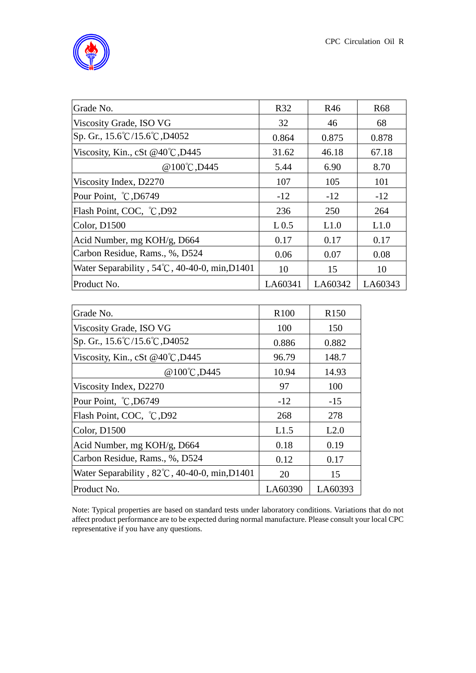

| Grade No.                                               | <b>R32</b> | R46     | R <sub>68</sub> |
|---------------------------------------------------------|------------|---------|-----------------|
| Viscosity Grade, ISO VG                                 | 32         | 46      | 68              |
| $Sp. Gr., 15.6^{\circ}C/15.6^{\circ}C, D4052$           | 0.864      | 0.875   | 0.878           |
| Viscosity, Kin., cSt $@40^{\circ}$ C, D445              | 31.62      | 46.18   | 67.18           |
| @100°C, D445                                            | 5.44       | 6.90    | 8.70            |
| Viscosity Index, D2270                                  | 107        | 105     | 101             |
| Pour Point, °C, D6749                                   | $-12$      | $-12$   | $-12$           |
| Flash Point, COC, °C, D92                               | 236        | 250     | 264             |
| Color, D1500                                            | $L_{0.5}$  | L1.0    | L1.0            |
| Acid Number, mg KOH/g, D664                             | 0.17       | 0.17    | 0.17            |
| Carbon Residue, Rams., %, D524                          | 0.06       | 0.07    | 0.08            |
| Water Separability, $54^{\circ}$ C, 40-40-0, min, D1401 | 10         | 15      | 10              |
| Product No.                                             | LA60341    | LA60342 | LA60343         |

| Grade No.                                          | R <sub>100</sub> | R <sub>150</sub> |
|----------------------------------------------------|------------------|------------------|
| Viscosity Grade, ISO VG                            | 100              | 150              |
| Sp. Gr., $15.6^{\circ}$ C/15.6 $^{\circ}$ C, D4052 | 0.886            | 0.882            |
| Viscosity, Kin., cSt @40°C, D445                   | 96.79            | 148.7            |
| @100°C, D445                                       | 10.94            | 14.93            |
| Viscosity Index, D2270                             | 97               | 100              |
| Pour Point, °C, D6749                              | $-12$            | $-15$            |
| Flash Point, COC, °C, D92                          | 268              | 278              |
| $\vert$ Color, D1500                               | L1.5             | L2.0             |
| Acid Number, mg KOH/g, D664                        | 0.18             | 0.19             |
| Carbon Residue, Rams., %, D524                     | 0.12             | 0.17             |
| Water Separability, 82°C, 40-40-0, min, D1401      | 20               | 15               |
| Product No.                                        | LA60390          | LA60393          |

Note: Typical properties are based on standard tests under laboratory conditions. Variations that do not affect product performance are to be expected during normal manufacture. Please consult your local CPC representative if you have any questions.